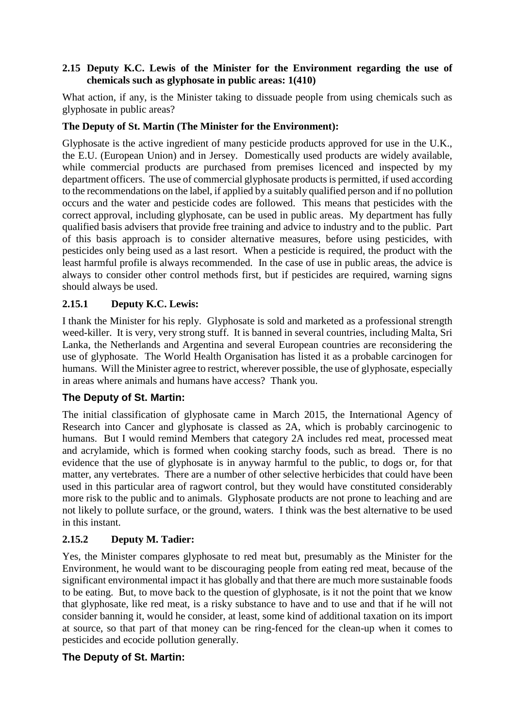#### **2.15 Deputy K.C. Lewis of the Minister for the Environment regarding the use of chemicals such as glyphosate in public areas: 1(410)**

What action, if any, is the Minister taking to dissuade people from using chemicals such as glyphosate in public areas?

### **The Deputy of St. Martin (The Minister for the Environment):**

Glyphosate is the active ingredient of many pesticide products approved for use in the U.K., the E.U. (European Union) and in Jersey. Domestically used products are widely available, while commercial products are purchased from premises licenced and inspected by my department officers. The use of commercial glyphosate products is permitted, if used according to the recommendations on the label, if applied by a suitably qualified person and if no pollution occurs and the water and pesticide codes are followed. This means that pesticides with the correct approval, including glyphosate, can be used in public areas. My department has fully qualified basis advisers that provide free training and advice to industry and to the public. Part of this basis approach is to consider alternative measures, before using pesticides, with pesticides only being used as a last resort. When a pesticide is required, the product with the least harmful profile is always recommended. In the case of use in public areas, the advice is always to consider other control methods first, but if pesticides are required, warning signs should always be used.

### **2.15.1 Deputy K.C. Lewis:**

I thank the Minister for his reply. Glyphosate is sold and marketed as a professional strength weed-killer. It is very, very strong stuff. It is banned in several countries, including Malta, Sri Lanka, the Netherlands and Argentina and several European countries are reconsidering the use of glyphosate. The World Health Organisation has listed it as a probable carcinogen for humans. Will the Minister agree to restrict, wherever possible, the use of glyphosate, especially in areas where animals and humans have access? Thank you.

#### **The Deputy of St. Martin:**

The initial classification of glyphosate came in March 2015, the International Agency of Research into Cancer and glyphosate is classed as 2A, which is probably carcinogenic to humans. But I would remind Members that category 2A includes red meat, processed meat and acrylamide, which is formed when cooking starchy foods, such as bread. There is no evidence that the use of glyphosate is in anyway harmful to the public, to dogs or, for that matter, any vertebrates. There are a number of other selective herbicides that could have been used in this particular area of ragwort control, but they would have constituted considerably more risk to the public and to animals. Glyphosate products are not prone to leaching and are not likely to pollute surface, or the ground, waters. I think was the best alternative to be used in this instant.

#### **2.15.2 Deputy M. Tadier:**

Yes, the Minister compares glyphosate to red meat but, presumably as the Minister for the Environment, he would want to be discouraging people from eating red meat, because of the significant environmental impact it has globally and that there are much more sustainable foods to be eating. But, to move back to the question of glyphosate, is it not the point that we know that glyphosate, like red meat, is a risky substance to have and to use and that if he will not consider banning it, would he consider, at least, some kind of additional taxation on its import at source, so that part of that money can be ring-fenced for the clean-up when it comes to pesticides and ecocide pollution generally.

#### **The Deputy of St. Martin:**